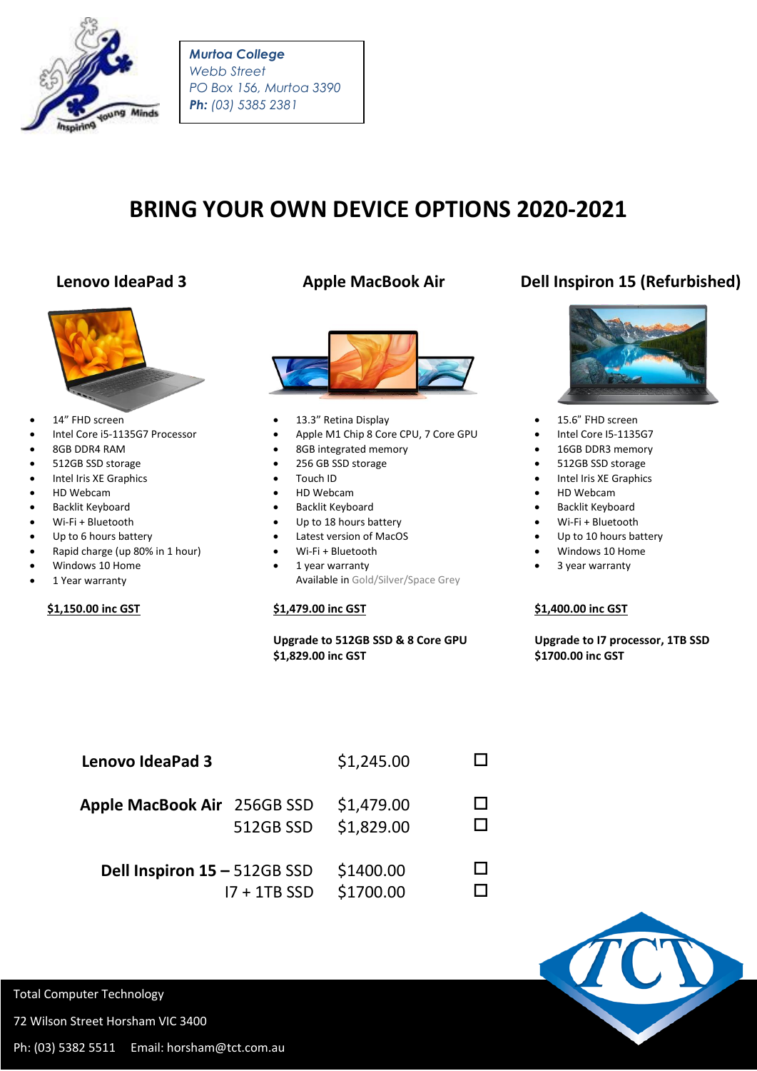

*Murtoa College Webb Street PO Box 156, Murtoa 3390 Ph: (03) 5385 2381*

# **BRING YOUR OWN DEVICE OPTIONS 2020-2021**



- 14" FHD screen
- Intel Core i5-1135G7 Processor
- 8GB DDR4 RAM
- 512GB SSD storage
- Intel Iris XE Graphics
- HD Webcam
- **•** Backlit Keyboard
- Wi-Fi + Bluetooth
- Up to 6 hours battery
- Rapid charge (up 80% in 1 hour)
- Windows 10 Home
- 1 Year warranty

### **\$1,150.00 inc GST**



- 13.3" Retina Display
- Apple M1 Chip 8 Core CPU, 7 Core GPU
- 8GB integrated memory
- 256 GB SSD storage
- Touch ID
- HD Webcam
- **•** Backlit Keyboard
- Up to 18 hours battery
- Latest version of MacOS
- Wi-Fi + Bluetooth
- 1 year warranty Available in Gold/Silver/Space Grey

### **\$1,479.00 inc GST**

### **Upgrade to 512GB SSD & 8 Core GPU \$1,829.00 inc GST**

## **Lenovo IdeaPad 3 Apple MacBook Air Dell Inspiron 15 (Refurbished)**



- 15.6" FHD screen
- Intel Core I5-1135G7
- 16GB DDR3 memory
- 512GB SSD storage
- Intel Iris XE Graphics
- HD Webcam
- **•** Backlit Keyboard
- Wi-Fi + Bluetooth
- Up to 10 hours battery
- Windows 10 Home
- 3 year warranty

#### **\$1,400.00 inc GST**

 **Upgrade to I7 processor, 1TB SSD \$1700.00 inc GST**

| <b>Lenovo IdeaPad 3</b>      |                | \$1,245.00               |  |
|------------------------------|----------------|--------------------------|--|
| Apple MacBook Air 256GB SSD  | 512GB SSD      | \$1,479.00<br>\$1,829.00 |  |
| Dell Inspiron 15 - 512GB SSD | $17 + 1TB$ SSD | \$1400.00<br>\$1700.00   |  |



Total Computer Technology

72 Wilson Street Horsham VIC 3400

Ph: (03) 5382 5511 Email: horsham@tct.com.au